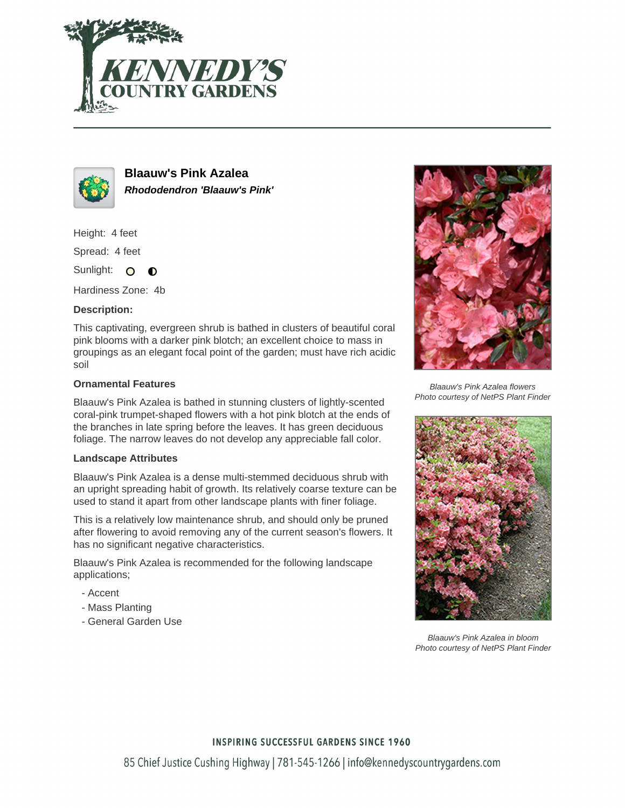



**Blaauw's Pink Azalea Rhododendron 'Blaauw's Pink'**

Height: 4 feet

Spread: 4 feet

Sunlight: O  $\bullet$ 

Hardiness Zone: 4b

### **Description:**

This captivating, evergreen shrub is bathed in clusters of beautiful coral pink blooms with a darker pink blotch; an excellent choice to mass in groupings as an elegant focal point of the garden; must have rich acidic soil

### **Ornamental Features**

Blaauw's Pink Azalea is bathed in stunning clusters of lightly-scented coral-pink trumpet-shaped flowers with a hot pink blotch at the ends of the branches in late spring before the leaves. It has green deciduous foliage. The narrow leaves do not develop any appreciable fall color.

### **Landscape Attributes**

Blaauw's Pink Azalea is a dense multi-stemmed deciduous shrub with an upright spreading habit of growth. Its relatively coarse texture can be used to stand it apart from other landscape plants with finer foliage.

This is a relatively low maintenance shrub, and should only be pruned after flowering to avoid removing any of the current season's flowers. It has no significant negative characteristics.

Blaauw's Pink Azalea is recommended for the following landscape applications;

- Accent
- Mass Planting
- General Garden Use



Blaauw's Pink Azalea flowers Photo courtesy of NetPS Plant Finder



Blaauw's Pink Azalea in bloom Photo courtesy of NetPS Plant Finder

## **INSPIRING SUCCESSFUL GARDENS SINCE 1960**